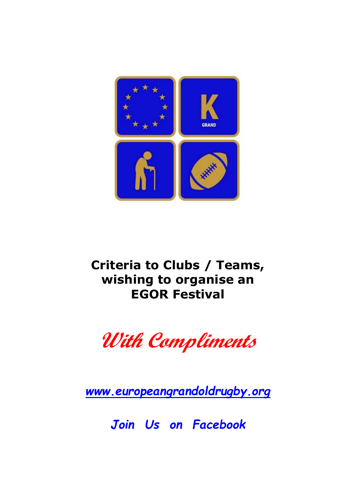

# **Criteria to Clubs / Teams, wishing to organise an EGOR Festival**



*[www.europeangrandoldrugby.org](https://www.europeangrandoldrugby.org/)*

*Join Us on Facebook*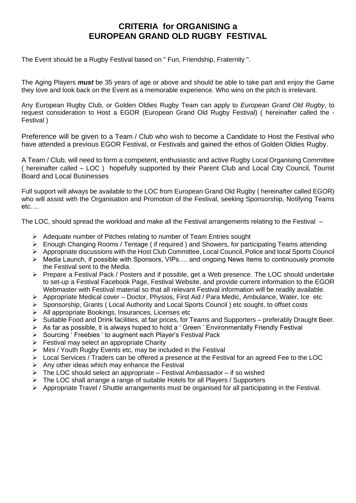### **CRITERIA for ORGANISING a EUROPEAN GRAND OLD RUGBY FESTIVAL**

The Event should be a Rugby Festival based on " Fun, Friendship, Fraternity ".

The Aging Players *must* be 35 years of age or above and should be able to take part and enjoy the Game they love and look back on the Event as a memorable experience. Who wins on the pitch is irrelevant.

Any European Rugby Club, or Golden Oldies Rugby Team can apply to *European Grand Old Rugby*, to request consideration to Host a EGOR (European Grand Old Rugby Festival) ( hereinafter called the - Festival )

Preference will be given to a Team / Club who wish to become a Candidate to Host the Festival who have attended a previous EGOR Festival, or Festivals and gained the ethos of Golden Oldies Rugby.

A Team / Club, will need to form a competent, enthusiastic and active Rugby Local Organising Committee ( hereinafter called – LOC ) hopefully supported by their Parent Club and Local City Council, Tourist Board and Local Businesses

Full support will always be available to the LOC from European Grand Old Rugby ( hereinafter called EGOR) who will assist with the Organisation and Promotion of the Festival, seeking Sponsorship, Notifying Teams etc….

The LOC, should spread the workload and make all the Festival arrangements relating to the Festival –

- ➢ Adequate number of Pitches relating to number of Team Entries sought
- ➢ Enough Changing Rooms / Tentage ( if required ) and Showers, for participating Teams attending
- ➢ Appropriate discussions with the Host Club Committee, Local Council, Police and local Sports Council
- ➢ Media Launch, if possible with Sponsors, VIPs…. and ongoing News Items to continuously promote the Festival sent to the Media.
- ➢ Prepare a Festival Pack / Posters and if possible, get a Web presence. The LOC should undertake to set-up a Festival Facebook Page, Festival Website, and provide current information to the EGOR Webmaster with Festival material so that all relevant Festival information will be readily available.
- ➢ Appropriate Medical cover Doctor, Physios, First Aid / Para Medic, Ambulance, Water, Ice etc
- ➢ Sponsorship, Grants ( Local Authority and Local Sports Council ) etc sought, to offset costs
- ➢ All appropriate Bookings, Insurances, Licenses etc
- ➢ Suitable Food and Drink facilities, at fair prices, for Teams and Supporters preferably Draught Beer.
- $\triangleright$  As far as possible, it is always hoped to hold a ' Green ' Environmentally Friendly Festival
- ➢ Sourcing ' Freebies ' to augment each Player's Festival Pack
- $\triangleright$  Festival may select an appropriate Charity
- $\triangleright$  Mini / Youth Rugby Events etc, may be included in the Festival
- $\triangleright$  Local Services / Traders can be offered a presence at the Festival for an agreed Fee to the LOC
- $\triangleright$  Any other ideas which may enhance the Festival
- $\triangleright$  The LOC should select an appropriate Festival Ambassador if so wished
- ➢ The LOC shall arrange a range of suitable Hotels for all Players / Supporters
- ➢ Appropriate Travel / Shuttle arrangements must be organised for all participating in the Festival.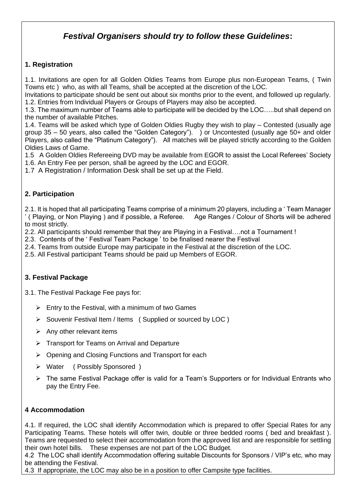## *Festival Organisers should try to follow these Guidelines***:**

#### **1. Registration**

1.1. Invitations are open for all Golden Oldies Teams from Europe plus non-European Teams, ( Twin Towns etc ) who, as with all Teams, shall be accepted at the discretion of the LOC.

Invitations to participate should be sent out about six months prior to the event, and followed up regularly. 1.2. Entries from Individual Players or Groups of Players may also be accepted.

1.3. The maximum number of Teams able to participate will be decided by the LOC…..but shall depend on the number of available Pitches.

1.4. Teams will be asked which type of Golden Oldies Rugby they wish to play – Contested (usually age group 35 – 50 years, also called the "Golden Category"). ) or Uncontested (usually age 50+ and older Players, also called the "Platinum Category"). All matches will be played strictly according to the Golden Oldies Laws of Game.

1.5 A Golden Oldies Refereeing DVD may be available from EGOR to assist the Local Referees' Society

1.6. An Entry Fee per person, shall be agreed by the LOC and EGOR.

1.7 A Registration / Information Desk shall be set up at the Field.

#### **2. Participation**

2.1. It is hoped that all participating Teams comprise of a minimum 20 players, including a ' Team Manager ' ( Playing, or Non Playing ) and if possible, a Referee. Age Ranges / Colour of Shorts will be adhered to most strictly.

2.2. All participants should remember that they are Playing in a Festival….not a Tournament !

2.3. Contents of the ' Festival Team Package ' to be finalised nearer the Festival

2.4. Teams from outside Europe may participate in the Festival at the discretion of the LOC.

2.5. All Festival participant Teams should be paid up Members of EGOR.

#### **3. Festival Package**

3.1. The Festival Package Fee pays for:

- $\triangleright$  Entry to the Festival, with a minimum of two Games
- ➢ Souvenir Festival Item / Items ( Supplied or sourced by LOC )
- $\triangleright$  Any other relevant items
- ➢ Transport for Teams on Arrival and Departure
- ➢ Opening and Closing Functions and Transport for each
- ➢ Water ( Possibly Sponsored )
- ➢ The same Festival Package offer is valid for a Team's Supporters or for Individual Entrants who pay the Entry Fee.

#### **4 Accommodation**

4.1. If required, the LOC shall identify Accommodation which is prepared to offer Special Rates for any Participating Teams. These hotels will offer twin, double or three bedded rooms ( bed and breakfast ). Teams are requested to select their accommodation from the approved list and are responsible for settling their own hotel bills. These expenses are not part of the LOC Budget.

4.2 The LOC shall identify Accommodation offering suitable Discounts for Sponsors / VIP's etc, who may be attending the Festival.

4.3 If appropriate, the LOC may also be in a position to offer Campsite type facilities.